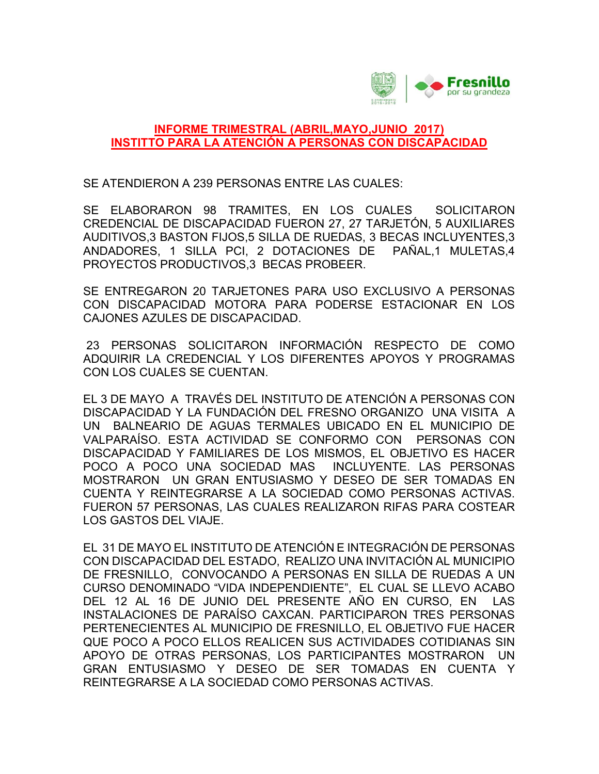

## INFORME TRIMESTRAL (ABRIL,MAYO,JUNIO 2017) INSTITTO PARA LA ATENCIÓN A PERSONAS CON DISCAPACIDAD

SE ATENDIERON A 239 PERSONAS ENTRE LAS CUALES:

SE ELABORARON 98 TRAMITES, EN LOS CUALES SOLICITARON CREDENCIAL DE DISCAPACIDAD FUERON 27, 27 TARJETÓN, 5 AUXILIARES AUDITIVOS,3 BASTON FIJOS,5 SILLA DE RUEDAS, 3 BECAS INCLUYENTES,3 ANDADORES, 1 SILLA PCI, 2 DOTACIONES DE PAÑAL,1 MULETAS,4 PROYECTOS PRODUCTIVOS,3 BECAS PROBEER.

SE ENTREGARON 20 TARJETONES PARA USO EXCLUSIVO A PERSONAS CON DISCAPACIDAD MOTORA PARA PODERSE ESTACIONAR EN LOS CAJONES AZULES DE DISCAPACIDAD.

 23 PERSONAS SOLICITARON INFORMACIÓN RESPECTO DE COMO ADQUIRIR LA CREDENCIAL Y LOS DIFERENTES APOYOS Y PROGRAMAS CON LOS CUALES SE CUENTAN.

EL 3 DE MAYO A TRAVÉS DEL INSTITUTO DE ATENCIÓN A PERSONAS CON DISCAPACIDAD Y LA FUNDACIÓN DEL FRESNO ORGANIZO UNA VISITA A UN BALNEARIO DE AGUAS TERMALES UBICADO EN EL MUNICIPIO DE VALPARAÍSO. ESTA ACTIVIDAD SE CONFORMO CON PERSONAS CON DISCAPACIDAD Y FAMILIARES DE LOS MISMOS, EL OBJETIVO ES HACER POCO A POCO UNA SOCIEDAD MAS INCLUYENTE. LAS PERSONAS MOSTRARON UN GRAN ENTUSIASMO Y DESEO DE SER TOMADAS EN CUENTA Y REINTEGRARSE A LA SOCIEDAD COMO PERSONAS ACTIVAS. FUERON 57 PERSONAS, LAS CUALES REALIZARON RIFAS PARA COSTEAR LOS GASTOS DEL VIAJE.

EL 31 DE MAYO EL INSTITUTO DE ATENCIÓN E INTEGRACIÓN DE PERSONAS CON DISCAPACIDAD DEL ESTADO, REALIZO UNA INVITACIÓN AL MUNICIPIO DE FRESNILLO, CONVOCANDO A PERSONAS EN SILLA DE RUEDAS A UN CURSO DENOMINADO "VIDA INDEPENDIENTE", EL CUAL SE LLEVO ACABO DEL 12 AL 16 DE JUNIO DEL PRESENTE AÑO EN CURSO, EN LAS INSTALACIONES DE PARAÍSO CAXCAN. PARTICIPARON TRES PERSONAS PERTENECIENTES AL MUNICIPIO DE FRESNILLO, EL OBJETIVO FUE HACER QUE POCO A POCO ELLOS REALICEN SUS ACTIVIDADES COTIDIANAS SIN APOYO DE OTRAS PERSONAS, LOS PARTICIPANTES MOSTRARON UN GRAN ENTUSIASMO Y DESEO DE SER TOMADAS EN CUENTA Y REINTEGRARSE A LA SOCIEDAD COMO PERSONAS ACTIVAS.